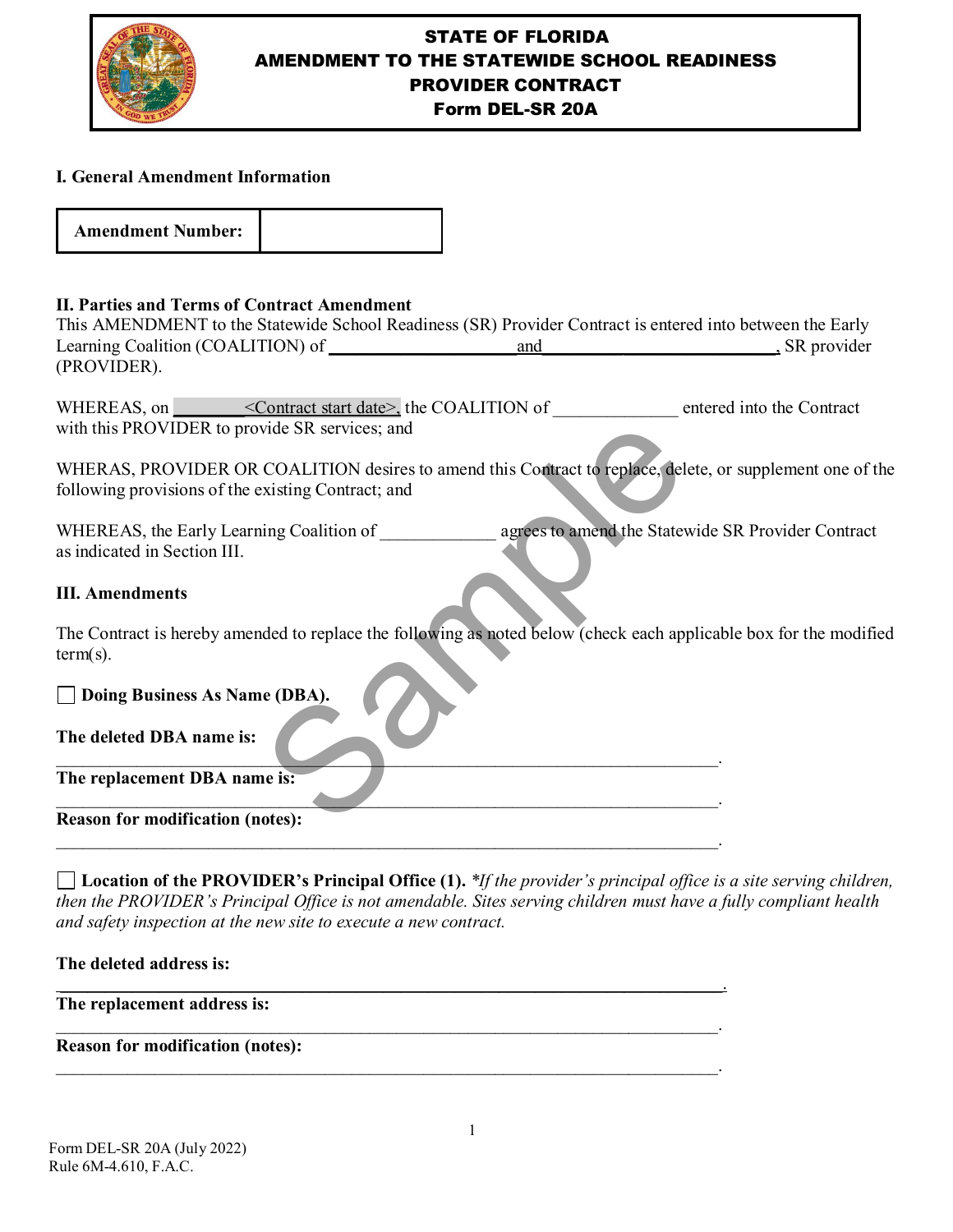

# STATE OF FLORIDA AMENDMENT TO THE STATEWIDE SCHOOL READINESS PROVIDER CONTRACT

Form DEL-SR 20A

## **I. General Amendment Information**

| <b>Amendment Number:</b> |  |
|--------------------------|--|
|--------------------------|--|

## **II. Parties and Terms of Contract Amendment**

This AMENDMENT to the Statewide School Readiness (SR) Provider Contract is entered into between the Early Learning Coalition (COALITION) of and the same state of the state of the state of the state of the state of the state of the state of the state of the state of the state of the state of the state of the state of the state (PROVIDER).

WHEREAS, on  $\blacksquare$  < Contract start date>, the COALITION of entered into the Contract with this PROVIDER to provide SR services; and

WHERAS, PROVIDER OR COALITION desires to amend this Contract to replace, delete, or supplement one of the following provisions of the existing Contract; and

WHEREAS, the Early Learning Coalition of **Early 2** agrees to amend the Statewide SR Provider Contract as indicated in Section III. vide SR services; and<br>
COALITION desires to amend this Contract to replace, delet<br>
xisting Contract; and<br>
ing Coalition of<br>
agrees to amend the States<br>
agrees to amend the States<br>
agrees to amend the States<br>
agrees to amen

## **III. Amendments**

The Contract is hereby amended to replace the following as noted below (check each applicable box for the modified term(s).

 $\blacksquare$ 

 $\mathcal{L}_\mathcal{L}$  , and the set of the set of the set of the set of the set of the set of the set of the set of the set of the set of the set of the set of the set of the set of the set of the set of the set of the set of th

 $\mathcal{L}_\mathcal{L} = \mathcal{L}_\mathcal{L} = \mathcal{L}_\mathcal{L} = \mathcal{L}_\mathcal{L} = \mathcal{L}_\mathcal{L} = \mathcal{L}_\mathcal{L} = \mathcal{L}_\mathcal{L} = \mathcal{L}_\mathcal{L} = \mathcal{L}_\mathcal{L} = \mathcal{L}_\mathcal{L} = \mathcal{L}_\mathcal{L} = \mathcal{L}_\mathcal{L} = \mathcal{L}_\mathcal{L} = \mathcal{L}_\mathcal{L} = \mathcal{L}_\mathcal{L} = \mathcal{L}_\mathcal{L} = \mathcal{L}_\mathcal{L}$ 

\_\_\_\_\_\_\_\_\_\_\_\_\_\_\_\_\_\_\_\_\_\_\_\_\_\_\_\_\_\_\_\_\_\_\_\_\_\_\_\_\_\_\_\_\_\_\_\_\_\_\_\_\_\_\_\_\_\_\_\_\_\_\_\_\_\_\_\_\_\_\_\_\_\_.

\_\_\_\_\_\_\_\_\_\_\_\_\_\_\_\_\_\_\_\_\_\_\_\_\_\_\_\_\_\_\_\_\_\_\_\_\_\_\_\_\_\_\_\_\_\_\_\_\_\_\_\_\_\_\_\_\_\_\_\_\_\_\_\_\_\_\_\_\_\_\_\_\_\_.

\_\_\_\_\_\_\_\_\_\_\_\_\_\_\_\_\_\_\_\_\_\_\_\_\_\_\_\_\_\_\_\_\_\_\_\_\_\_\_\_\_\_\_\_\_\_\_\_\_\_\_\_\_\_\_\_\_\_\_\_\_\_\_\_\_\_\_\_\_\_\_\_\_\_.

## **Doing Business As Name (DBA).**

**The deleted DBA name is:**

**The replacement DBA name is:** 

#### **Reason for modification (notes):**

**Location of the PROVIDER's Principal Office (1).** *\*If the provider's principal office is a site serving children, then the PROVIDER's Principal Office is not amendable. Sites serving children must have a fully compliant health and safety inspection at the new site to execute a new contract.*

#### **The deleted address is:**

#### **The replacement address is:**

#### **Reason for modification (notes):**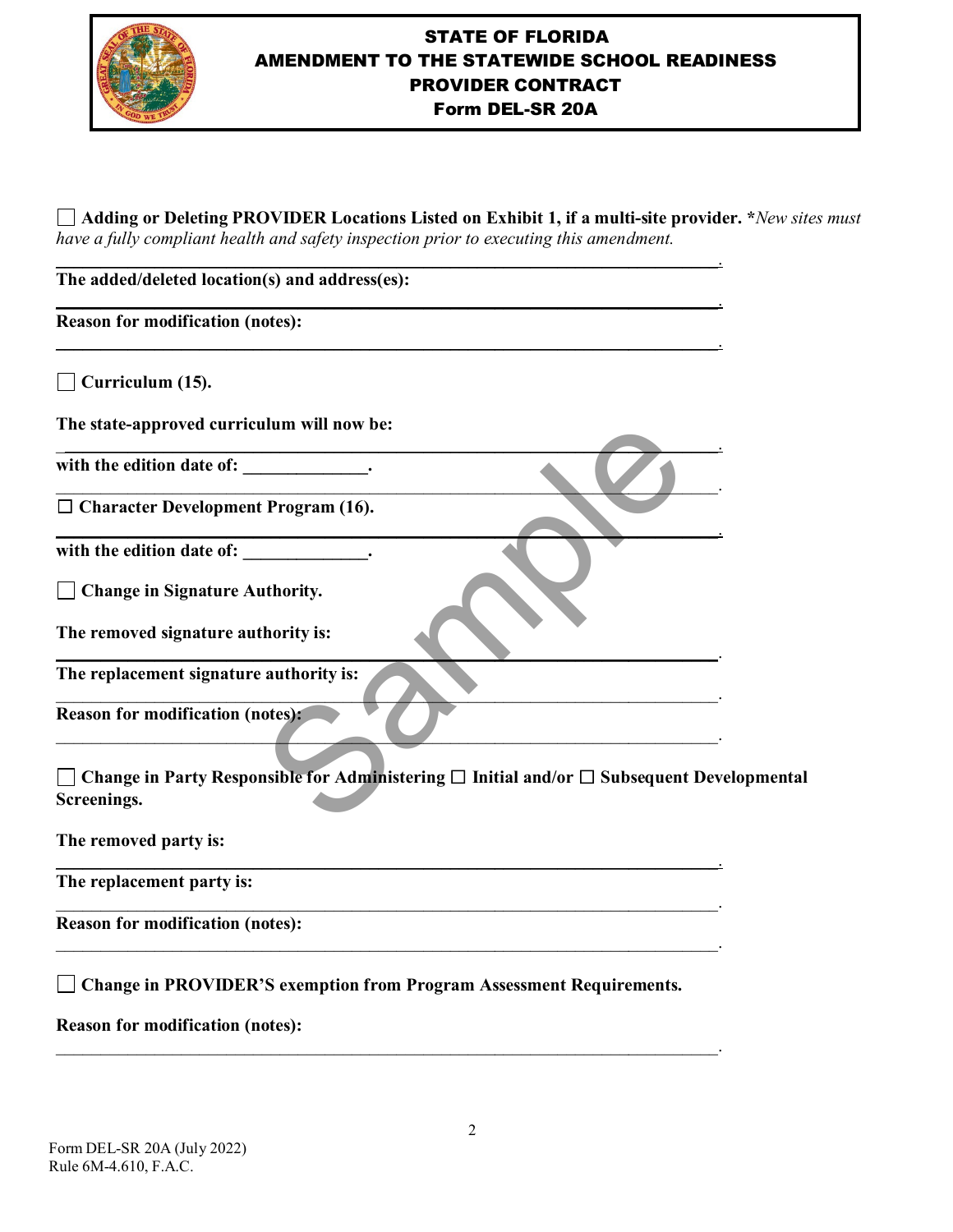

# STATE OF FLORIDA AMENDMENT TO THE STATEWIDE SCHOOL READINESS PROVIDER CONTRACT Form DEL-SR 20A

**Adding or Deleting PROVIDER Locations Listed on Exhibit 1, if a multi-site provider. \****New sites must have a fully compliant health and safety inspection prior to executing this amendment.*

\_\_\_\_\_\_\_\_\_\_\_\_\_\_\_\_\_\_\_\_\_\_\_\_\_\_\_\_\_\_\_\_\_\_\_\_\_\_\_\_\_\_\_\_\_\_\_\_\_\_\_\_\_\_\_\_\_\_\_\_\_\_\_\_\_\_\_\_\_\_\_\_\_\_.

\_\_\_\_\_\_\_\_\_\_\_\_\_\_\_\_\_\_\_\_\_\_\_\_\_\_\_\_\_\_\_\_\_\_\_\_\_\_\_\_\_\_\_\_\_\_\_\_\_\_\_\_\_\_\_\_\_\_\_\_\_\_\_\_\_\_\_\_\_\_\_\_\_\_.

 $\frac{1}{2}$  ,  $\frac{1}{2}$  ,  $\frac{1}{2}$  ,  $\frac{1}{2}$  ,  $\frac{1}{2}$  ,  $\frac{1}{2}$  ,  $\frac{1}{2}$  ,  $\frac{1}{2}$  ,  $\frac{1}{2}$  ,  $\frac{1}{2}$  ,  $\frac{1}{2}$  ,  $\frac{1}{2}$  ,  $\frac{1}{2}$  ,  $\frac{1}{2}$  ,  $\frac{1}{2}$  ,  $\frac{1}{2}$  ,  $\frac{1}{2}$  ,  $\frac{1}{2}$  ,  $\frac{1$ 

 $\mathcal{L} = \mathcal{L} \mathcal{L} = \mathcal{L} \mathcal{L} = \mathcal{L} \mathcal{L} = \mathcal{L} \mathcal{L} = \mathcal{L} \mathcal{L} = \mathcal{L} \mathcal{L} = \mathcal{L} \mathcal{L} = \mathcal{L} \mathcal{L} = \mathcal{L} \mathcal{L} = \mathcal{L} \mathcal{L} = \mathcal{L} \mathcal{L} = \mathcal{L} \mathcal{L} = \mathcal{L} \mathcal{L} = \mathcal{L} \mathcal{L} = \mathcal{L} \mathcal{L} = \mathcal{L} \mathcal{L} = \mathcal{L$ 

\_\_\_\_\_\_\_\_\_\_\_\_\_\_\_\_\_\_\_\_\_\_\_\_\_\_\_\_\_\_\_\_\_\_\_\_\_\_\_\_\_\_\_\_\_\_\_\_\_\_\_\_\_\_\_\_\_\_\_\_\_\_\_\_\_\_\_\_\_\_\_\_\_\_.

\_\_\_\_\_\_\_\_\_\_\_\_\_\_\_\_\_\_\_\_\_\_\_\_\_\_\_\_\_\_\_\_\_\_\_\_\_\_\_\_\_\_\_\_\_\_\_\_\_\_\_\_\_\_\_\_\_\_\_\_\_\_\_\_\_\_\_\_\_\_\_\_\_\_.

 $\blacksquare$ 

\_\_\_\_\_\_\_\_\_\_\_\_\_\_\_\_\_\_\_\_\_\_\_\_\_\_\_\_\_\_\_\_\_\_\_\_\_\_\_\_\_\_\_\_\_\_\_\_\_\_\_\_\_\_\_\_\_\_\_\_\_\_\_\_\_\_\_\_\_\_\_\_\_\_.

\_\_\_\_\_\_\_\_\_\_\_\_\_\_\_\_\_\_\_\_\_\_\_\_\_\_\_\_\_\_\_\_\_\_\_\_\_\_\_\_\_\_\_\_\_\_\_\_\_\_\_\_\_\_\_\_\_\_\_\_\_\_\_\_\_\_\_\_\_\_\_\_\_\_.

\_\_\_\_\_\_\_\_\_\_\_\_\_\_\_\_\_\_\_\_\_\_\_\_\_\_\_\_\_\_\_\_\_\_\_\_\_\_\_\_\_\_\_\_\_\_\_\_\_\_\_\_\_\_\_\_\_\_\_\_\_\_\_\_\_\_\_\_\_\_\_\_\_\_.

\_\_\_\_\_\_\_\_\_\_\_\_\_\_\_\_\_\_\_\_\_\_\_\_\_\_\_\_\_\_\_\_\_\_\_\_\_\_\_\_\_\_\_\_\_\_\_\_\_\_\_\_\_\_\_\_\_\_\_\_\_\_\_\_\_\_\_\_\_\_\_\_\_\_.

 $\mathcal{L}_\text{max} = \mathcal{L}_\text{max} = \mathcal{L}_\text{max} = \mathcal{L}_\text{max} = \mathcal{L}_\text{max} = \mathcal{L}_\text{max} = \mathcal{L}_\text{max} = \mathcal{L}_\text{max} = \mathcal{L}_\text{max} = \mathcal{L}_\text{max} = \mathcal{L}_\text{max} = \mathcal{L}_\text{max} = \mathcal{L}_\text{max} = \mathcal{L}_\text{max} = \mathcal{L}_\text{max} = \mathcal{L}_\text{max} = \mathcal{L}_\text{max} = \mathcal{L}_\text{max} = \mathcal{$ 

\_\_\_\_\_\_\_\_\_\_\_\_\_\_\_\_\_\_\_\_\_\_\_\_\_\_\_\_\_\_\_\_\_\_\_\_\_\_\_\_\_\_\_\_\_\_\_\_\_\_\_\_\_\_\_\_\_\_\_\_\_\_\_\_\_\_\_\_\_\_\_\_\_\_. **The added/deleted location(s) and address(es):** 

**Reason for modification (notes):** 

**Curriculum (15).** 

**The state-approved curriculum will now be:** 

with the edition date of: \_\_\_\_\_\_\_\_\_\_\_\_\_\_.

☐ **Character Development Program (16).**

with the edition date of:

**Change in Signature Authority.** 

**The removed signature authority is:**

**The replacement signature authority is:** 

**Reason for modification (notes):** 

**Change in Party Responsible for Administering** ☐ **Initial and/or** ☐ **Subsequent Developmental Screenings.**  ulum will now be:<br>
Program (16).<br>
<br>
thority.<br>
thority is:<br>
authority is:<br>
otes):<br>
otes):<br>
sible for Administering  $\Box$  Initial and/or  $\Box$  Subsequent

**The removed party is:**

**The replacement party is:** 

**Reason for modification (notes):** 

**Change in PROVIDER'S exemption from Program Assessment Requirements.**

**Reason for modification (notes):**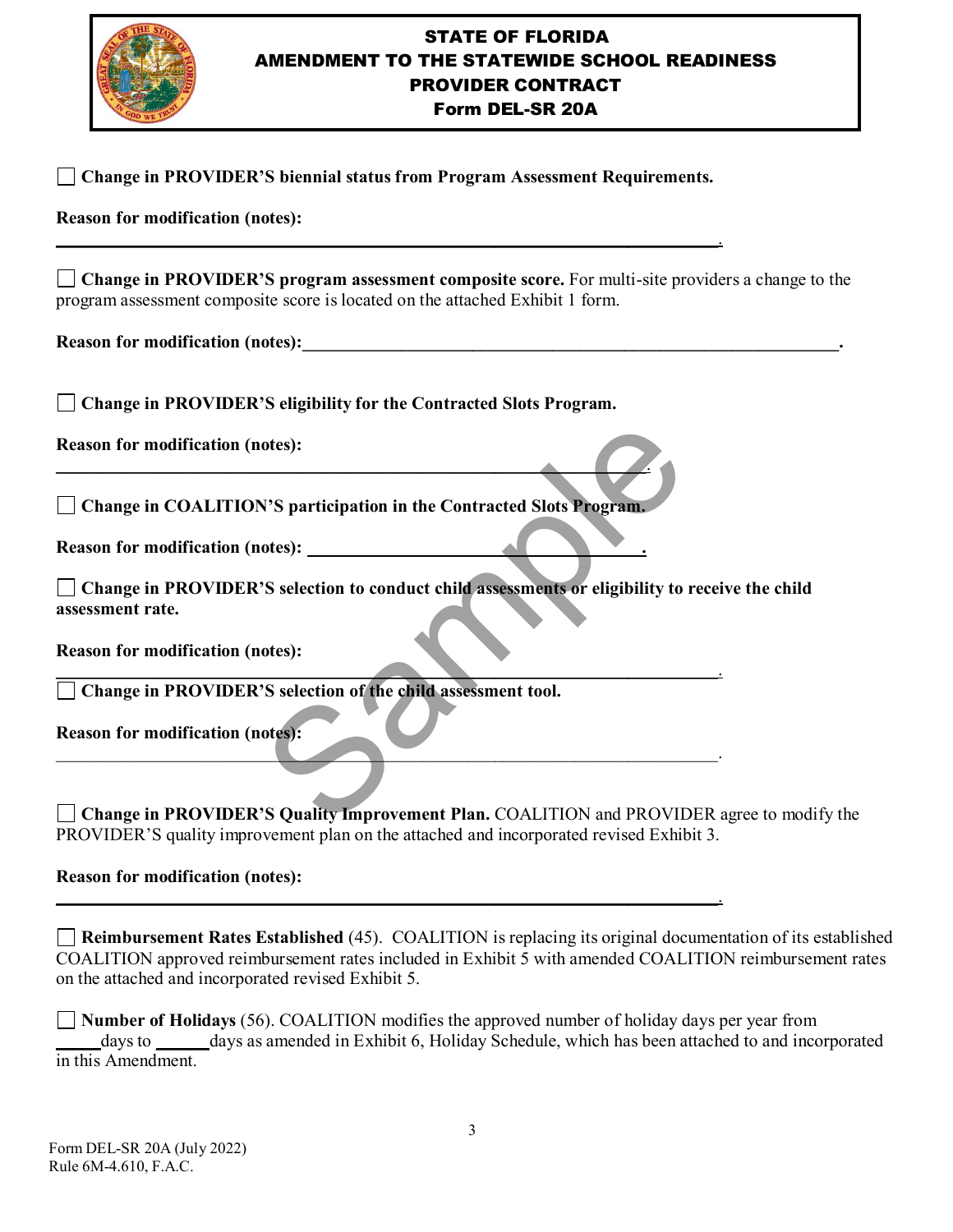

# STATE OF FLORIDA AMENDMENT TO THE STATEWIDE SCHOOL READINESS PROVIDER CONTRACT

## Form DEL-SR 20A

| <b>Change in PROVIDER'S biennial status from Program Assessment Requirements.</b>                                                                                                         |
|-------------------------------------------------------------------------------------------------------------------------------------------------------------------------------------------|
| <b>Reason for modification (notes):</b>                                                                                                                                                   |
| $\Box$ Change in PROVIDER'S program assessment composite score. For multi-site providers a change to the<br>program assessment composite score is located on the attached Exhibit 1 form. |
|                                                                                                                                                                                           |
| Change in PROVIDER'S eligibility for the Contracted Slots Program.                                                                                                                        |
| <b>Reason for modification (notes):</b>                                                                                                                                                   |
| Change in COALITION'S participation in the Contracted Slots Program.                                                                                                                      |
| Reason for modification (notes): ____________                                                                                                                                             |
| Change in PROVIDER'S selection to conduct child assessments or eligibility to receive the child<br>assessment rate.                                                                       |
| <b>Reason for modification (notes):</b>                                                                                                                                                   |
| Change in PROVIDER'S selection of the child assessment tool.                                                                                                                              |
| <b>Reason for modification (notes):</b>                                                                                                                                                   |
|                                                                                                                                                                                           |
| Change in PROVIDER'S Quality Improvement Plan. COALITION and PROVIDER agree to modify the                                                                                                 |
| PROVIDER'S quality improvement plan on the attached and incorporated revised Exhibit 3.                                                                                                   |

## **Reason for modification (notes):**

**Reimbursement Rates Established** (45). COALITION is replacing its original documentation of its established COALITION approved reimbursement rates included in Exhibit 5 with amended COALITION reimbursement rates on the attached and incorporated revised Exhibit 5.

\_\_\_\_\_\_\_\_\_\_\_\_\_\_\_\_\_\_\_\_\_\_\_\_\_\_\_\_\_\_\_\_\_\_\_\_\_\_\_\_\_\_\_\_\_\_\_\_\_\_\_\_\_\_\_\_\_\_\_\_\_\_\_\_\_\_\_\_\_\_\_\_\_\_.

**Number of Holidays** (56). COALITION modifies the approved number of holiday days per year from \_\_\_\_\_days to \_\_\_\_\_\_days as amended in Exhibit 6, Holiday Schedule, which has been attached to and incorporated in this Amendment.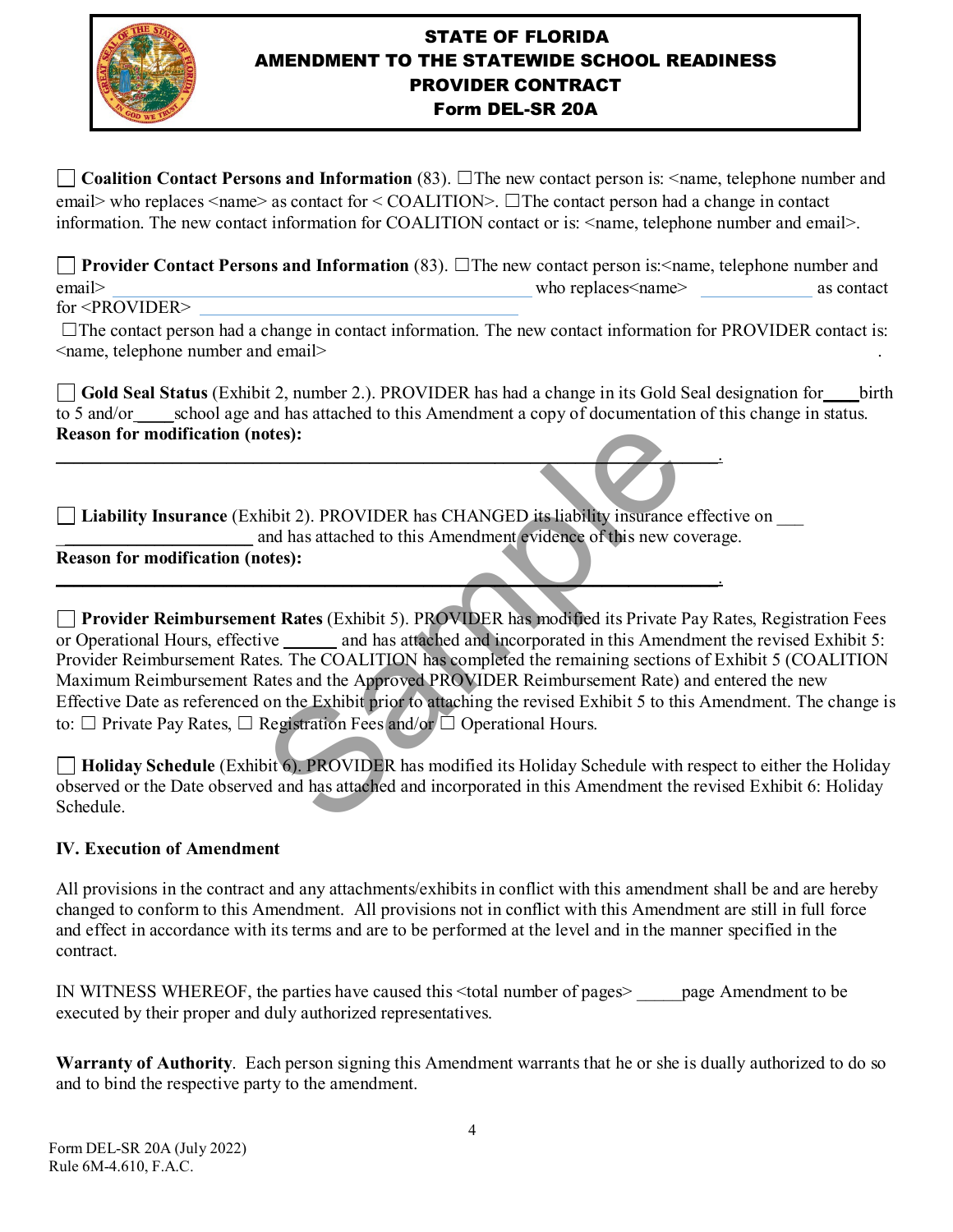

# STATE OF FLORIDA AMENDMENT TO THE STATEWIDE SCHOOL READINESS PROVIDER CONTRACT Form DEL-SR 20A

**Coalition Contact Persons and Information** (83). ☐The new contact person is: <name, telephone number and email> who replaces <name> as contact for < COALITION>.  $\Box$  The contact person had a change in contact information. The new contact information for COALITION contact or is: <name, telephone number and email>.

**Provider Contact Persons and Information** (83). □The new contact person is:<name, telephone number and email> as contact who replaces  $\leq$  manipulation as contact as contact as contact as  $\leq$  as contact as  $\leq$  as contact as  $\leq$  as  $\leq$  as  $\leq$  as  $\leq$  as  $\leq$  as  $\leq$  as  $\leq$  as  $\leq$  as  $\leq$  as  $\leq$  as  $\leq$ 

for <PROVIDER>

 $\Box$ The contact person had a change in contact information. The new contact information for PROVIDER contact is: <name, telephone number and email> .

Gold Seal Status (Exhibit 2, number 2.). PROVIDER has had a change in its Gold Seal designation for birth to 5 and/or school age and has attached to this Amendment a copy of documentation of this change in status. **Reason for modification (notes):** 

**Liability Insurance** (Exhibit 2). PROVIDER has CHANGED its liability insurance effective on \_\_\_ \_\_\_\_\_\_\_\_\_\_\_\_\_\_\_\_\_\_\_\_\_\_ and has attached to this Amendment evidence of this new coverage.

\_\_\_\_\_\_\_\_\_\_\_\_\_\_\_\_\_\_\_\_\_\_\_\_\_\_\_\_\_\_\_\_\_\_\_\_\_\_\_\_\_\_\_\_\_\_\_\_\_\_\_\_\_\_\_\_\_\_\_\_\_\_\_\_\_\_\_\_\_\_\_\_\_\_.

\_\_\_\_\_\_\_\_\_\_\_\_\_\_\_\_\_\_\_\_\_\_\_\_\_\_\_\_\_\_\_\_\_\_\_\_\_\_\_\_\_\_\_\_\_\_\_\_\_\_\_\_\_\_\_\_\_\_\_\_\_\_\_\_\_\_\_\_\_\_\_\_\_\_.

## **Reason for modification (notes):**

**Provider Reimbursement Rates** (Exhibit 5). PROVIDER has modified its Private Pay Rates, Registration Fees or Operational Hours, effective and has attached and incorporated in this Amendment the revised Exhibit 5: Provider Reimbursement Rates. The COALITION has completed the remaining sections of Exhibit 5 (COALITION Maximum Reimbursement Rates and the Approved PROVIDER Reimbursement Rate) and entered the new Effective Date as referenced on the Exhibit prior to attaching the revised Exhibit 5 to this Amendment. The change is to: □ Private Pay Rates, □ Registration Fees and/or □ Operational Hours. otes):<br>
hibit 2). PROVIDER has CHANGED its liability insurance<br>
and has attached to this Amendment evidence of this new co<br>
otes):<br> **In tractices** (Exhibit 5). PROVIDER has modified its Private P<br>
ive and has attached and

**Holiday Schedule** (Exhibit 6). PROVIDER has modified its Holiday Schedule with respect to either the Holiday observed or the Date observed and has attached and incorporated in this Amendment the revised Exhibit 6: Holiday Schedule.

## **IV. Execution of Amendment**

All provisions in the contract and any attachments/exhibits in conflict with this amendment shall be and are hereby changed to conform to this Amendment. All provisions not in conflict with this Amendment are still in full force and effect in accordance with its terms and are to be performed at the level and in the manner specified in the contract.

IN WITNESS WHEREOF, the parties have caused this <total number of pages > page Amendment to be executed by their proper and duly authorized representatives.

**Warranty of Authority**. Each person signing this Amendment warrants that he or she is dually authorized to do so and to bind the respective party to the amendment.